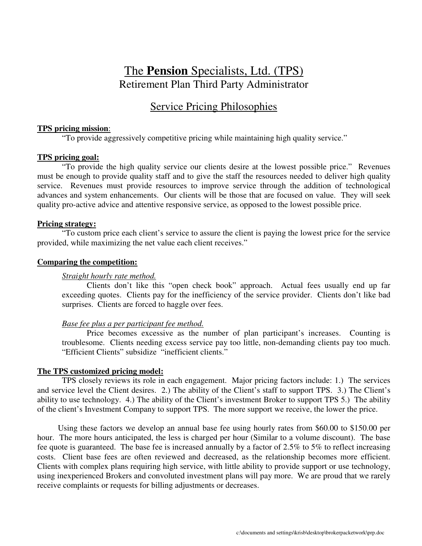# The **Pension** Specialists, Ltd. (TPS) Retirement Plan Third Party Administrator

# Service Pricing Philosophies

## **TPS pricing mission**:

"To provide aggressively competitive pricing while maintaining high quality service."

### **TPS pricing goal:**

"To provide the high quality service our clients desire at the lowest possible price." Revenues must be enough to provide quality staff and to give the staff the resources needed to deliver high quality service. Revenues must provide resources to improve service through the addition of technological advances and system enhancements. Our clients will be those that are focused on value. They will seek quality pro-active advice and attentive responsive service, as opposed to the lowest possible price.

### **Pricing strategy:**

"To custom price each client's service to assure the client is paying the lowest price for the service provided, while maximizing the net value each client receives."

#### **Comparing the competition:**

### *Straight hourly rate method.*

Clients don't like this "open check book" approach. Actual fees usually end up far exceeding quotes. Clients pay for the inefficiency of the service provider. Clients don't like bad surprises. Clients are forced to haggle over fees.

### *Base fee plus a per participant fee method.*

Price becomes excessive as the number of plan participant's increases. Counting is troublesome. Clients needing excess service pay too little, non-demanding clients pay too much. "Efficient Clients" subsidize "inefficient clients."

### **The TPS customized pricing model:**

TPS closely reviews its role in each engagement. Major pricing factors include: 1.) The services and service level the Client desires. 2.) The ability of the Client's staff to support TPS. 3.) The Client's ability to use technology. 4.) The ability of the Client's investment Broker to support TPS 5.) The ability of the client's Investment Company to support TPS. The more support we receive, the lower the price.

Using these factors we develop an annual base fee using hourly rates from \$60.00 to \$150.00 per hour. The more hours anticipated, the less is charged per hour (Similar to a volume discount). The base fee quote is guaranteed. The base fee is increased annually by a factor of 2.5% to 5% to reflect increasing costs. Client base fees are often reviewed and decreased, as the relationship becomes more efficient. Clients with complex plans requiring high service, with little ability to provide support or use technology, using inexperienced Brokers and convoluted investment plans will pay more. We are proud that we rarely receive complaints or requests for billing adjustments or decreases.